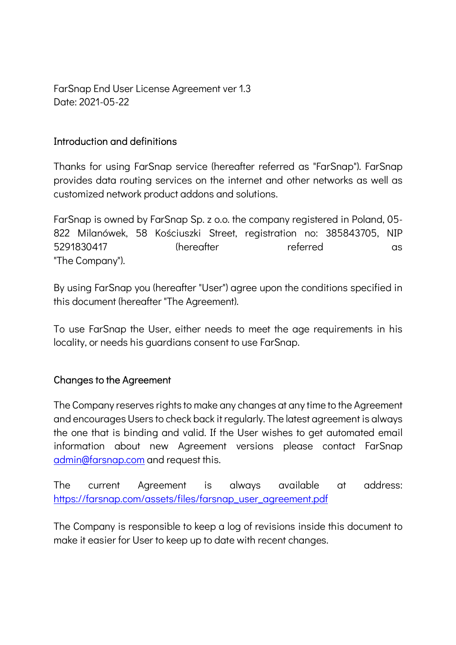FarSnap End User License Agreement ver 1.3 Date: 2021-05-22

#### Introduction and definitions

Thanks for using FarSnap service (hereafter referred as "FarSnap"). FarSnap provides data routing services on the internet and other networks as well as customized network product addons and solutions.

FarSnap is owned by FarSnap Sp. z o.o. the company registered in Poland, 05- 822 Milanówek, 58 Kościuszki Street, registration no: 385843705, NIP 5291830417 (hereafter referred as "The Company").

By using FarSnap you (hereafter "User") agree upon the conditions specified in this document (hereafter "The Agreement).

To use FarSnap the User, either needs to meet the age requirements in his locality, or needs his guardians consent to use FarSnap.

#### Changes to the Agreement

The Company reserves rights to make any changes at any time to the Agreement and encourages Users to check back it regularly. The latest agreement is always the one that is binding and valid. If the User wishes to get automated email information about new Agreement versions please contact FarSnap admin@farsnap.com and request this.

The current Agreement is always available at address: https://farsnap.com/assets/files/farsnap\_user\_agreement.pdf

The Company is responsible to keep a log of revisions inside this document to make it easier for User to keep up to date with recent changes.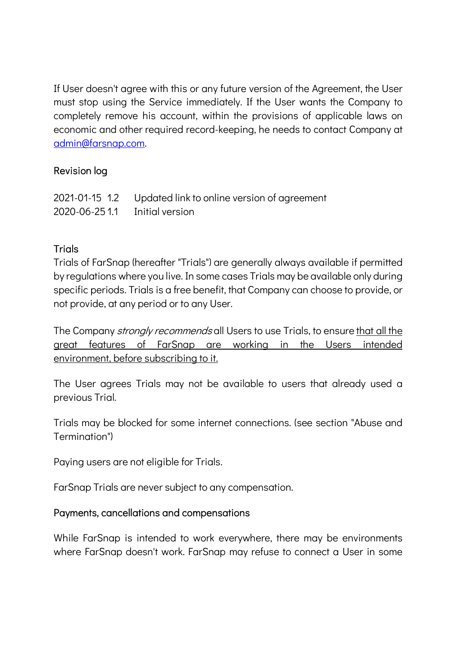If User doesn't agree with this or any future version of the Agreement, the User must stop using the Service immediately. If the User wants the Company to completely remove his account, within the provisions of applicable laws on economic and other required record-keeping, he needs to contact Company at admin@farsnap.com.

## Revision log

|                                   | 2021-01-15 1.2 Updated link to online version of agreement |
|-----------------------------------|------------------------------------------------------------|
| 2020-06-25 1.1    Initial version |                                                            |

## **Trials**

Trials of FarSnap (hereafter "Trials") are generally always available if permitted by regulations where you live. In some cases Trials may be available only during specific periods. Trials is a free benefit, that Company can choose to provide, or not provide, at any period or to any User.

The Company *stronaly recommends* all Users to use Trials, to ensure that all the great features of FarSnap are working in the Users intended environment, before subscribing to it.

The User agrees Trials may not be available to users that already used a previous Trial.

Trials may be blocked for some internet connections. (see section "Abuse and Termination")

Paying users are not eligible for Trials.

FarSnap Trials are never subject to any compensation.

### Payments, cancellations and compensations

While FarSnap is intended to work everywhere, there may be environments where FarSnap doesn't work. FarSnap may refuse to connect a User in some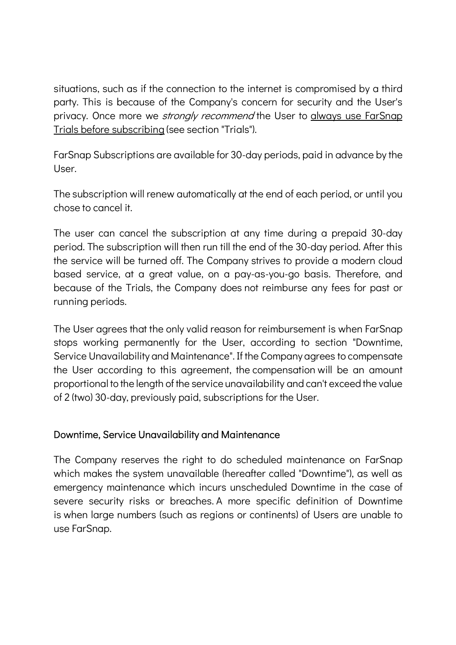situations, such as if the connection to the internet is compromised by a third party. This is because of the Company's concern for security and the User's privacy. Once more we *strongly recommend* the User to always use FarSnap Trials before subscribing (see section "Trials").

FarSnap Subscriptions are available for 30-day periods, paid in advance by the User.

The subscription will renew automatically at the end of each period, or until you chose to cancel it.

The user can cancel the subscription at any time during a prepaid 30-day period. The subscription will then run till the end of the 30-day period. After this the service will be turned off. The Company strives to provide a modern cloud based service, at a great value, on a pay-as-you-go basis. Therefore, and because of the Trials, the Company does not reimburse any fees for past or running periods.

The User agrees that the only valid reason for reimbursement is when FarSnap stops working permanently for the User, according to section "Downtime, Service Unavailability and Maintenance". If the Company agrees to compensate the User according to this agreement, the compensation will be an amount proportional to the length of the service unavailability and can't exceed the value of 2 (two) 30-day, previously paid, subscriptions for the User.

### Downtime, Service Unavailability and Maintenance

The Company reserves the right to do scheduled maintenance on FarSnap which makes the system unavailable (hereafter called "Downtime"), as well as emergency maintenance which incurs unscheduled Downtime in the case of severe security risks or breaches. A more specific definition of Downtime is when large numbers (such as regions or continents) of Users are unable to use FarSnap.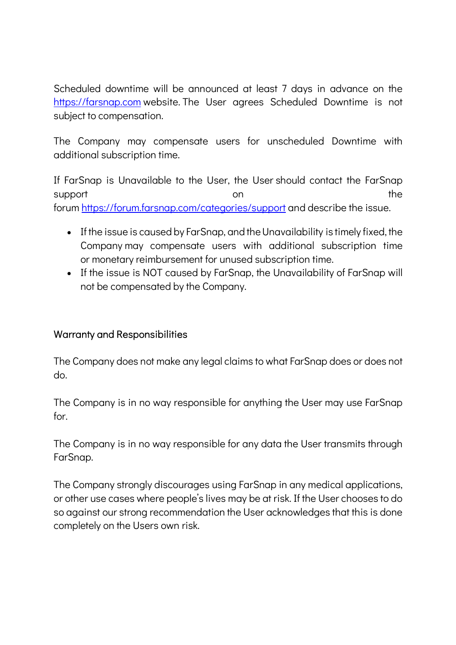Scheduled downtime will be announced at least 7 days in advance on the https://farsnap.com website. The User agrees Scheduled Downtime is not subject to compensation.

The Company may compensate users for unscheduled Downtime with additional subscription time.

If FarSnap is Unavailable to the User, the User should contact the FarSnap support the support on the support on the support of  $\mathcal{S}$ forum https://forum.farsnap.com/categories/support and describe the issue.

- If the issue is caused by FarSnap, and theUnavailability is timely fixed, the Company may compensate users with additional subscription time or monetary reimbursement for unused subscription time.
- If the issue is NOT caused by FarSnap, the Unavailability of FarSnap will not be compensated by the Company.

### Warranty and Responsibilities

The Company does not make any legal claims to what FarSnap does or does not do.

The Company is in no way responsible for anything the User may use FarSnap for.

The Company is in no way responsible for any data the User transmits through FarSnap.

The Company strongly discourages using FarSnap in any medical applications, or other use cases where people's lives may be at risk. If the User chooses to do so against our strong recommendation the User acknowledges that this is done completely on the Users own risk.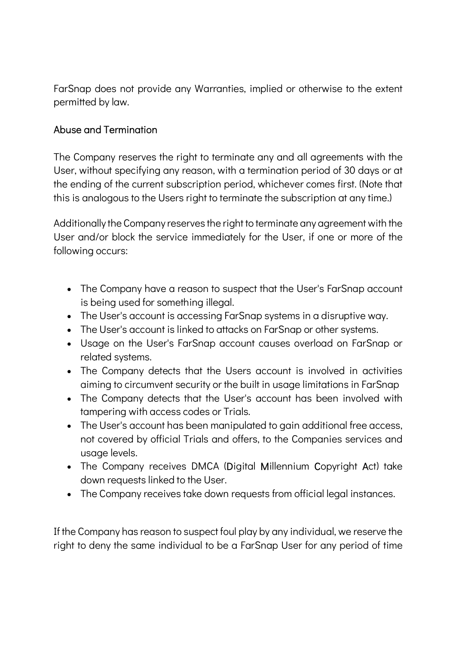FarSnap does not provide any Warranties, implied or otherwise to the extent permitted by law.

# Abuse and Termination

The Company reserves the right to terminate any and all agreements with the User, without specifying any reason, with a termination period of 30 days or at the ending of the current subscription period, whichever comes first. (Note that this is analogous to the Users right to terminate the subscription at any time.)

Additionally the Company reserves the right to terminate any agreement with the User and/or block the service immediately for the User, if one or more of the following occurs:

- The Company have a reason to suspect that the User's FarSnap account is being used for something illegal.
- The User's account is accessing FarSnap systems in a disruptive way.
- The User's account is linked to attacks on FarSnap or other systems.
- Usage on the User's FarSnap account causes overload on FarSnap or related systems.
- The Company detects that the Users account is involved in activities aiming to circumvent security or the built in usage limitations in FarSnap
- The Company detects that the User's account has been involved with tampering with access codes or Trials.
- The User's account has been manipulated to gain additional free access, not covered by official Trials and offers, to the Companies services and usage levels.
- The Company receives DMCA (Digital Millennium Copyright Act) take down requests linked to the User.
- The Company receives take down requests from official legal instances.

If the Company has reason to suspect foul play by any individual, we reserve the right to deny the same individual to be a FarSnap User for any period of time